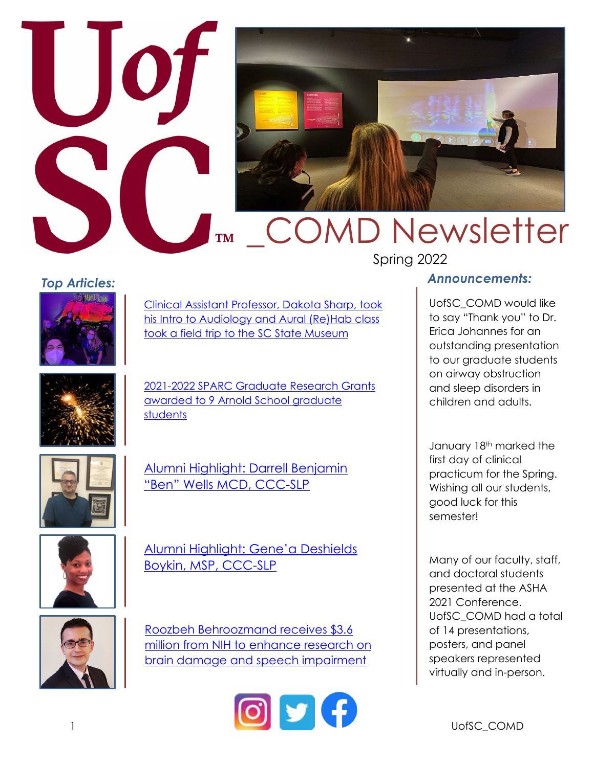

### *Top Articles:*



[Clinical Assistant Professor, Dakota Sharp, took](https://www.instagram.com/p/CZrpcKiu8uo/?utm_source=ig_web_copy_link)  [his Intro to Audiology and Aural \(Re\)Hab class](https://www.instagram.com/p/CZrpcKiu8uo/?utm_source=ig_web_copy_link)  [took a field trip to the SC State Museum](https://www.instagram.com/p/CZrpcKiu8uo/?utm_source=ig_web_copy_link)



[2021-2022 SPARC Graduate Research Grants](https://sc.edu/study/colleges_schools/public_health/about/news/2022/sparc_awards.php#.Yf10ybrMKUk)  [awarded to 9 Arnold School graduate](https://sc.edu/study/colleges_schools/public_health/about/news/2022/sparc_awards.php#.Yf10ybrMKUk)  [students](https://sc.edu/study/colleges_schools/public_health/about/news/2022/sparc_awards.php#.Yf10ybrMKUk)



[Alumni Highlight: Darrell Benjamin](https://www.instagram.com/p/CXhJ0E2vLaT/?utm_source=ig_web_copy_link)  ["Ben" Wells MCD, CCC-SLP](https://www.instagram.com/p/CXhJ0E2vLaT/?utm_source=ig_web_copy_link)



[Alumni Highlight: Gene'a Deshields](https://www.instagram.com/p/CXJpkeMvzjs/?utm_source=ig_web_copy_link)  [Boykin, MSP, CCC-SLP](https://www.instagram.com/p/CXJpkeMvzjs/?utm_source=ig_web_copy_link)



[Roozbeh Behroozmand receives \\$3.6](https://www.sc.edu/study/colleges_schools/public_health/about/news/2021/grant_aphasia_behroozmand.php#.Yec2nP7MKUk)  million from NIH to enhance research on [brain damage and speech impairment](https://www.sc.edu/study/colleges_schools/public_health/about/news/2021/grant_aphasia_behroozmand.php#.Yec2nP7MKUk)



### *Announcements:*

UofSC\_COMD would like to say "Thank you" to Dr. Erica Johannes for an outstanding presentation to our graduate students on airway obstruction and sleep disorders in children and adults.

January 18<sup>th</sup> marked the first day of clinical practicum for the Spring. Wishing all our students, good luck for this semester!

Many of our faculty, staff, and doctoral students presented at the ASHA 2021 Conference. UofSC\_COMD had a total of 14 presentations, posters, and panel speakers represented virtually and in-person.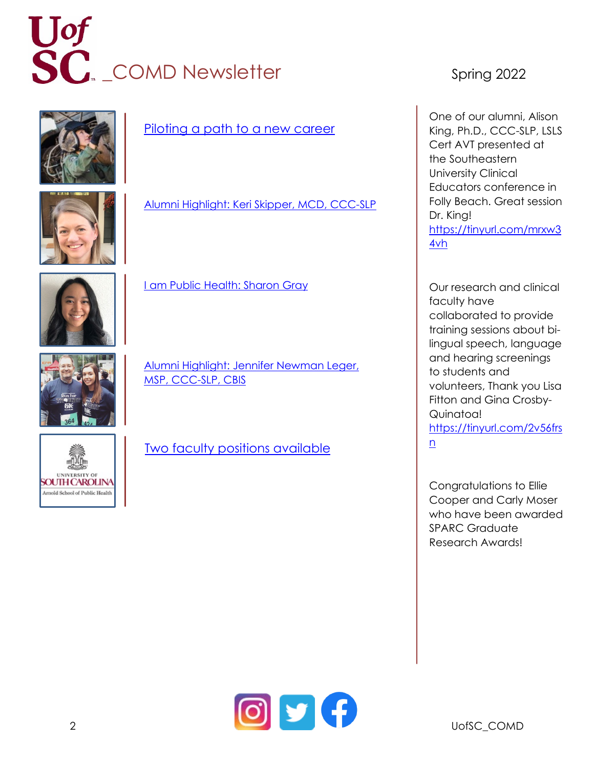### Let SC<sub>R</sub> COMD Newsletter Spring 2022





[Piloting a path to a new career](https://www.sc.edu/uofsc/posts/2021/11/salute_to_service_scholarship_molly_omalley.php#.YeG44_7MKUl)

[Alumni Highlight: Keri Skipper, MCD, CCC-SLP](https://www.instagram.com/p/CWD1zmcL_Mu/?utm_source=ig_web_copy_link)



[I am Public Health: Sharon Gray](https://www.sc.edu/study/colleges_schools/public_health/about/news/2021/iampublichealth_gray.php#.Yec2mP7MKUk)

[Alumni Highlight: Jennifer Newman Leger,](https://www.instagram.com/p/CVie2LcpsXu/?utm_source=ig_web_copy_link)  [MSP, CCC-SLP, CBIS](https://www.instagram.com/p/CVie2LcpsXu/?utm_source=ig_web_copy_link)



[Two faculty positions available](https://www.sc.edu/study/colleges_schools/public_health/documents/uofsc_comd_tt_faculty.pdf)

One of our alumni, Alison King, Ph.D., CCC-SLP, LSLS Cert AVT presented at the Southeastern University Clinical Educators conference in Folly Beach. Great session Dr. King! [https://tinyurl.com/mrxw3](https://tinyurl.com/mrxw34vh) [4vh](https://tinyurl.com/mrxw34vh)

Our [research and clinical](https://www.instagram.com/p/CUsal8ZAn52/?utm_source=ig_web_copy_link)  [faculty](https://www.instagram.com/p/CUsal8ZAn52/?utm_source=ig_web_copy_link) have [collaborated](https://www.instagram.com/p/CUsal8ZAn52/?utm_source=ig_web_copy_link) to provide [training sessions about](https://www.instagram.com/p/CUsal8ZAn52/?utm_source=ig_web_copy_link) bi[lingual speech, language](https://www.instagram.com/p/CUsal8ZAn52/?utm_source=ig_web_copy_link)  [and hearing screenings](https://www.instagram.com/p/CUsal8ZAn52/?utm_source=ig_web_copy_link) to students and volunteers, Thank you Lisa Fitton and Gina Crosby-Quinatoa! [https://tinyurl.com/2v56frs](https://tinyurl.com/2v56frsn) [n](https://tinyurl.com/2v56frsn)

Congratulations to Ellie Cooper and Carly Moser who have been awarded SPARC Graduate Research Awards!

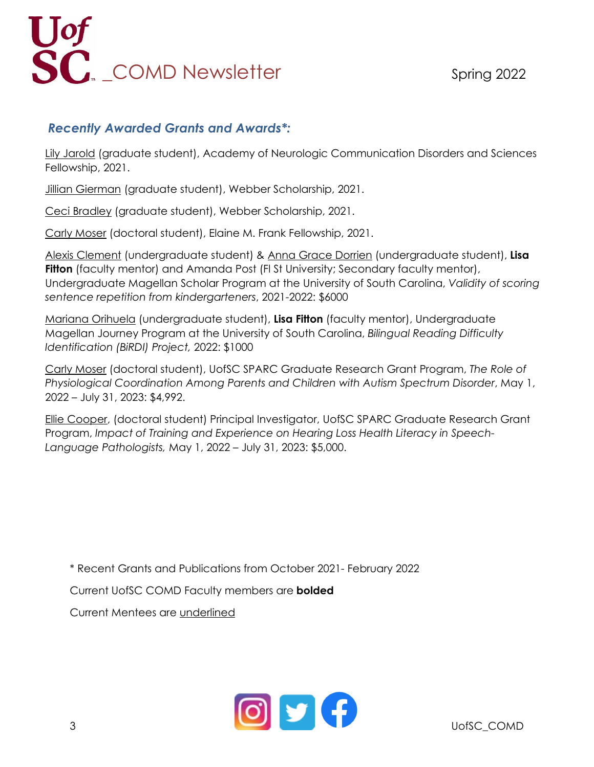# **SC**<br>COMD Newsletter Spring 2022

### *Recently Awarded Grants and Awards\*:*

Lily Jarold (graduate student), Academy of Neurologic Communication Disorders and Sciences Fellowship, 2021.

Jillian Gierman (graduate student), Webber Scholarship, 2021.

Ceci Bradley (graduate student), Webber Scholarship, 2021.

Carly Moser (doctoral student), Elaine M. Frank Fellowship, 2021.

Alexis Clement (undergraduate student) & Anna Grace Dorrien (undergraduate student), **Lisa Fitton** (faculty mentor) and Amanda Post (FI St University; Secondary faculty mentor), Undergraduate Magellan Scholar Program at the University of South Carolina, *Validity of scoring sentence repetition from kindergarteners*, 2021-2022: \$6000

Mariana Orihuela (undergraduate student), **Lisa Fitton** (faculty mentor), Undergraduate Magellan Journey Program at the University of South Carolina, *Bilingual Reading Difficulty Identification (BiRDI) Project,* 2022: \$1000

Carly Moser (doctoral student), UofSC SPARC Graduate Research Grant Program, *The Role of Physiological Coordination Among Parents and Children with Autism Spectrum Disorder*, May 1, 2022 – July 31, 2023: \$4,992.

Ellie Cooper, (doctoral student) Principal Investigator, UofSC SPARC Graduate Research Grant Program, *Impact of Training and Experience on Hearing Loss Health Literacy in Speech-Language Pathologists,* May 1, 2022 – July 31, 2023: \$5,000.

\* Recent Grants and Publications from October 2021- February 2022

Current UofSC COMD Faculty members are **bolded**

Current Mentees are underlined